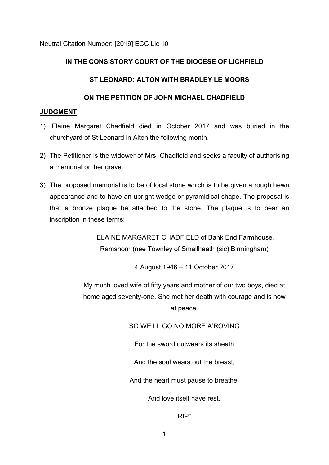Neutral Citation Number: [2019] ECC Lic 10

# **IN THE CONSISTORY COURT OF THE DIOCESE OF LICHFIELD**

## **ST LEONARD: ALTON WITH BRADLEY LE MOORS**

### **ON THE PETITION OF JOHN MICHAEL CHADFIELD**

### **JUDGMENT**

- 1) Elaine Margaret Chadfield died in October 2017 and was buried in the churchyard of St Leonard in Alton the following month.
- 2) The Petitioner is the widower of Mrs. Chadfield and seeks a faculty of authorising a memorial on her grave.
- 3) The proposed memorial is to be of local stone which is to be given a rough hewn appearance and to have an upright wedge or pyramidical shape. The proposal is that a bronze plaque be attached to the stone. The plaque is to bear an inscription in these terms:

"ELAINE MARGARET CHADFIELD of Bank End Farmhouse, Ramshorn (nee Townley of Smallheath (sic) Birmingham)

4 August 1946 – 11 October 2017

My much loved wife of fifty years and mother of our two boys, died at home aged seventy-one. She met her death with courage and is now at peace.

SO WE'LL GO NO MORE A'ROVING

For the sword outwears its sheath

And the soul wears out the breast,

And the heart must pause to breathe,

And love itself have rest.

RIP"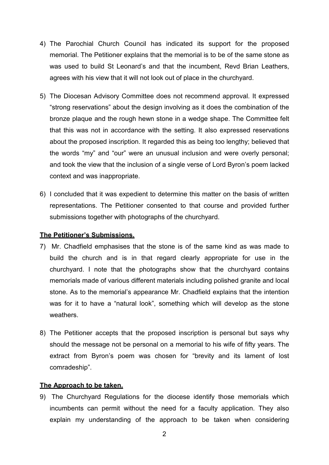- 4) The Parochial Church Council has indicated its support for the proposed memorial. The Petitioner explains that the memorial is to be of the same stone as was used to build St Leonard's and that the incumbent, Revd Brian Leathers, agrees with his view that it will not look out of place in the churchyard.
- 5) The Diocesan Advisory Committee does not recommend approval. It expressed "strong reservations" about the design involving as it does the combination of the bronze plaque and the rough hewn stone in a wedge shape. The Committee felt that this was not in accordance with the setting. It also expressed reservations about the proposed inscription. It regarded this as being too lengthy; believed that the words "my" and "our" were an unusual inclusion and were overly personal; and took the view that the inclusion of a single verse of Lord Byron's poem lacked context and was inappropriate.
- 6) I concluded that it was expedient to determine this matter on the basis of written representations. The Petitioner consented to that course and provided further submissions together with photographs of the churchyard.

### **The Petitioner's Submissions.**

- 7) Mr. Chadfield emphasises that the stone is of the same kind as was made to build the church and is in that regard clearly appropriate for use in the churchyard. I note that the photographs show that the churchyard contains memorials made of various different materials including polished granite and local stone. As to the memorial's appearance Mr. Chadfield explains that the intention was for it to have a "natural look", something which will develop as the stone weathers.
- 8) The Petitioner accepts that the proposed inscription is personal but says why should the message not be personal on a memorial to his wife of fifty years. The extract from Byron's poem was chosen for "brevity and its lament of lost comradeship".

### **The Approach to be taken.**

9) The Churchyard Regulations for the diocese identify those memorials which incumbents can permit without the need for a faculty application. They also explain my understanding of the approach to be taken when considering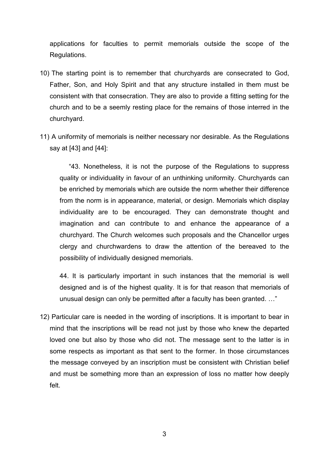applications for faculties to permit memorials outside the scope of the Regulations.

- 10) The starting point is to remember that churchyards are consecrated to God, Father, Son, and Holy Spirit and that any structure installed in them must be consistent with that consecration. They are also to provide a fitting setting for the church and to be a seemly resting place for the remains of those interred in the churchyard.
- 11) A uniformity of memorials is neither necessary nor desirable. As the Regulations say at [43] and [44]:

 "43. Nonetheless, it is not the purpose of the Regulations to suppress quality or individuality in favour of an unthinking uniformity. Churchyards can be enriched by memorials which are outside the norm whether their difference from the norm is in appearance, material, or design. Memorials which display individuality are to be encouraged. They can demonstrate thought and imagination and can contribute to and enhance the appearance of a churchyard. The Church welcomes such proposals and the Chancellor urges clergy and churchwardens to draw the attention of the bereaved to the possibility of individually designed memorials.

44. It is particularly important in such instances that the memorial is well designed and is of the highest quality. It is for that reason that memorials of unusual design can only be permitted after a faculty has been granted. …"

12) Particular care is needed in the wording of inscriptions. It is important to bear in mind that the inscriptions will be read not just by those who knew the departed loved one but also by those who did not. The message sent to the latter is in some respects as important as that sent to the former. In those circumstances the message conveyed by an inscription must be consistent with Christian belief and must be something more than an expression of loss no matter how deeply felt.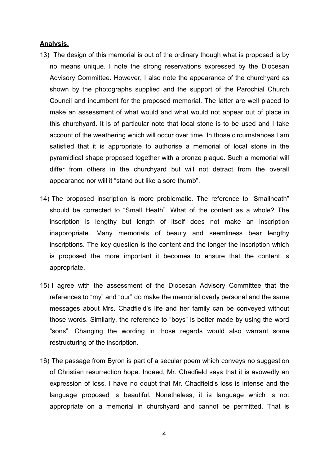#### **Analysis.**

- 13) The design of this memorial is out of the ordinary though what is proposed is by no means unique. I note the strong reservations expressed by the Diocesan Advisory Committee. However, I also note the appearance of the churchyard as shown by the photographs supplied and the support of the Parochial Church Council and incumbent for the proposed memorial. The latter are well placed to make an assessment of what would and what would not appear out of place in this churchyard. It is of particular note that local stone is to be used and I take account of the weathering which will occur over time. In those circumstances I am satisfied that it is appropriate to authorise a memorial of local stone in the pyramidical shape proposed together with a bronze plaque. Such a memorial will differ from others in the churchyard but will not detract from the overall appearance nor will it "stand out like a sore thumb".
- 14) The proposed inscription is more problematic. The reference to "Smallheath" should be corrected to "Small Heath". What of the content as a whole? The inscription is lengthy but length of itself does not make an inscription inappropriate. Many memorials of beauty and seemliness bear lengthy inscriptions. The key question is the content and the longer the inscription which is proposed the more important it becomes to ensure that the content is appropriate.
- 15) I agree with the assessment of the Diocesan Advisory Committee that the references to "my" and "our" do make the memorial overly personal and the same messages about Mrs. Chadfield's life and her family can be conveyed without those words. Similarly, the reference to "boys" is better made by using the word "sons". Changing the wording in those regards would also warrant some restructuring of the inscription.
- 16) The passage from Byron is part of a secular poem which conveys no suggestion of Christian resurrection hope. Indeed, Mr. Chadfield says that it is avowedly an expression of loss. I have no doubt that Mr. Chadfield's loss is intense and the language proposed is beautiful. Nonetheless, it is language which is not appropriate on a memorial in churchyard and cannot be permitted. That is